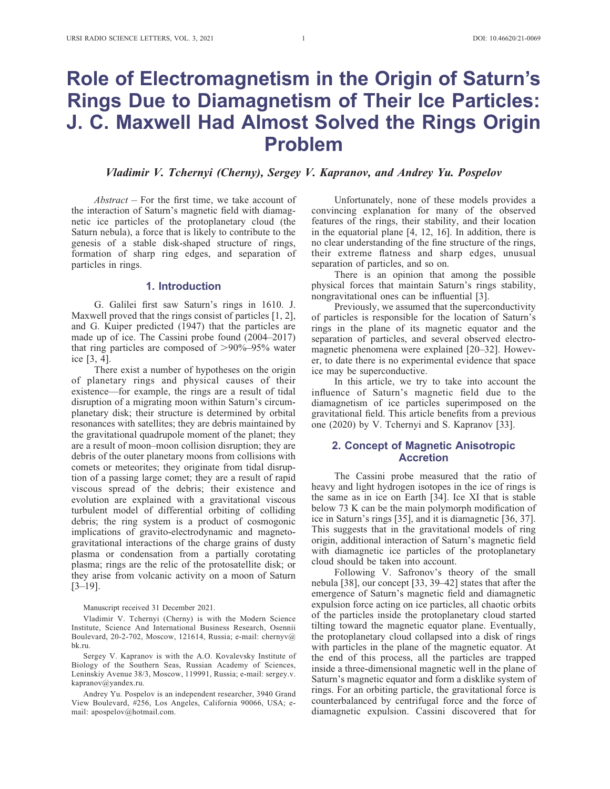# Role of Electromagnetism in the Origin of Saturn's Rings Due to Diamagnetism of Their Ice Particles: J. C. Maxwell Had Almost Solved the Rings Origin Problem

# Vladimir V. Tchernyi (Cherny), Sergey V. Kapranov, and Andrey Yu. Pospelov

 $Abstract - For the first time, we take account of$ the interaction of Saturn's magnetic field with diamagnetic ice particles of the protoplanetary cloud (the Saturn nebula), a force that is likely to contribute to the genesis of a stable disk-shaped structure of rings, formation of sharp ring edges, and separation of particles in rings.

#### 1. Introduction

G. Galilei first saw Saturn's rings in 1610. J. Maxwell proved that the rings consist of particles [1, 2], and G. Kuiper predicted (1947) that the particles are made up of ice. The Cassini probe found (2004–2017) that ring particles are composed of  $>90\%$ –95% water ice [3, 4].

There exist a number of hypotheses on the origin of planetary rings and physical causes of their existence—for example, the rings are a result of tidal disruption of a migrating moon within Saturn's circumplanetary disk; their structure is determined by orbital resonances with satellites; they are debris maintained by the gravitational quadrupole moment of the planet; they are a result of moon–moon collision disruption; they are debris of the outer planetary moons from collisions with comets or meteorites; they originate from tidal disruption of a passing large comet; they are a result of rapid viscous spread of the debris; their existence and evolution are explained with a gravitational viscous turbulent model of differential orbiting of colliding debris; the ring system is a product of cosmogonic implications of gravito-electrodynamic and magnetogravitational interactions of the charge grains of dusty plasma or condensation from a partially corotating plasma; rings are the relic of the protosatellite disk; or they arise from volcanic activity on a moon of Saturn [3–19].

Manuscript received 31 December 2021.

Vladimir V. Tchernyi (Cherny) is with the Modern Science Institute, Science And International Business Research, Osennii Boulevard, 20-2-702, Moscow, 121614, Russia; e-mail: chernyv@ bk.ru.

Sergey V. Kapranov is with the A.O. Kovalevsky Institute of Biology of the Southern Seas, Russian Academy of Sciences, Leninskiy Avenue 38/3, Moscow, 119991, Russia; e-mail: sergey.v. kapranov@yandex.ru.

Andrey Yu. Pospelov is an independent researcher, 3940 Grand View Boulevard, #256, Los Angeles, California 90066, USA; email: apospelov@hotmail.com.

Unfortunately, none of these models provides a convincing explanation for many of the observed features of the rings, their stability, and their location in the equatorial plane [4, 12, 16]. In addition, there is no clear understanding of the fine structure of the rings, their extreme flatness and sharp edges, unusual separation of particles, and so on.

There is an opinion that among the possible physical forces that maintain Saturn's rings stability, nongravitational ones can be influential [3].

Previously, we assumed that the superconductivity of particles is responsible for the location of Saturn's rings in the plane of its magnetic equator and the separation of particles, and several observed electromagnetic phenomena were explained [20–32]. However, to date there is no experimental evidence that space ice may be superconductive.

In this article, we try to take into account the influence of Saturn's magnetic field due to the diamagnetism of ice particles superimposed on the gravitational field. This article benefits from a previous one (2020) by V. Tchernyi and S. Kapranov [33].

#### 2. Concept of Magnetic Anisotropic **Accretion**

The Cassini probe measured that the ratio of heavy and light hydrogen isotopes in the ice of rings is the same as in ice on Earth [34]. Ice XI that is stable below 73 K can be the main polymorph modification of ice in Saturn's rings [35], and it is diamagnetic [36, 37]. This suggests that in the gravitational models of ring origin, additional interaction of Saturn's magnetic field with diamagnetic ice particles of the protoplanetary cloud should be taken into account.

Following V. Safronov's theory of the small nebula [38], our concept [33, 39–42] states that after the emergence of Saturn's magnetic field and diamagnetic expulsion force acting on ice particles, all chaotic orbits of the particles inside the protoplanetary cloud started tilting toward the magnetic equator plane. Eventually, the protoplanetary cloud collapsed into a disk of rings with particles in the plane of the magnetic equator. At the end of this process, all the particles are trapped inside a three-dimensional magnetic well in the plane of Saturn's magnetic equator and form a disklike system of rings. For an orbiting particle, the gravitational force is counterbalanced by centrifugal force and the force of diamagnetic expulsion. Cassini discovered that for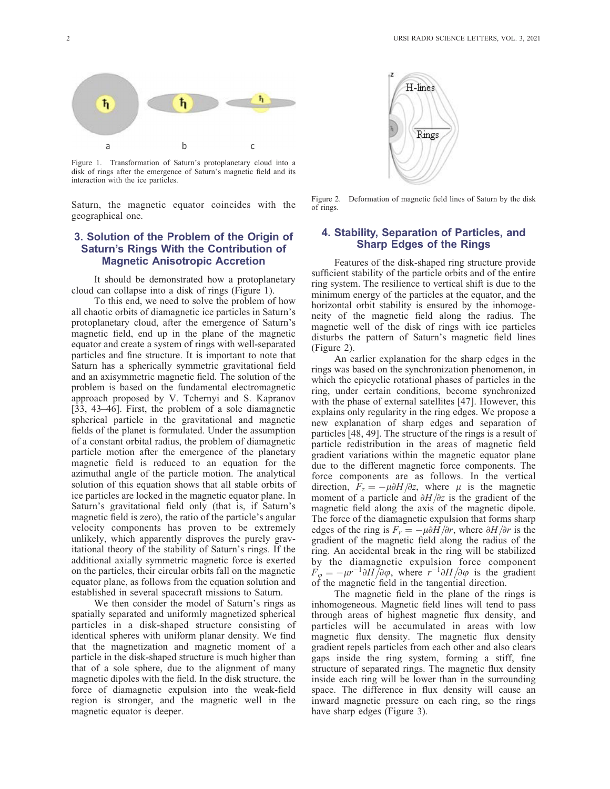

Figure 1. Transformation of Saturn's protoplanetary cloud into a disk of rings after the emergence of Saturn's magnetic field and its interaction with the ice particles.

Saturn, the magnetic equator coincides with the geographical one.

# 3. Solution of the Problem of the Origin of Saturn's Rings With the Contribution of Magnetic Anisotropic Accretion

It should be demonstrated how a protoplanetary cloud can collapse into a disk of rings (Figure 1).

To this end, we need to solve the problem of how all chaotic orbits of diamagnetic ice particles in Saturn's protoplanetary cloud, after the emergence of Saturn's magnetic field, end up in the plane of the magnetic equator and create a system of rings with well-separated particles and fine structure. It is important to note that Saturn has a spherically symmetric gravitational field and an axisymmetric magnetic field. The solution of the problem is based on the fundamental electromagnetic approach proposed by V. Tchernyi and S. Kapranov [33, 43–46]. First, the problem of a sole diamagnetic spherical particle in the gravitational and magnetic fields of the planet is formulated. Under the assumption of a constant orbital radius, the problem of diamagnetic particle motion after the emergence of the planetary magnetic field is reduced to an equation for the azimuthal angle of the particle motion. The analytical solution of this equation shows that all stable orbits of ice particles are locked in the magnetic equator plane. In Saturn's gravitational field only (that is, if Saturn's magnetic field is zero), the ratio of the particle's angular velocity components has proven to be extremely unlikely, which apparently disproves the purely gravitational theory of the stability of Saturn's rings. If the additional axially symmetric magnetic force is exerted on the particles, their circular orbits fall on the magnetic equator plane, as follows from the equation solution and established in several spacecraft missions to Saturn.

We then consider the model of Saturn's rings as spatially separated and uniformly magnetized spherical particles in a disk-shaped structure consisting of identical spheres with uniform planar density. We find that the magnetization and magnetic moment of a particle in the disk-shaped structure is much higher than that of a sole sphere, due to the alignment of many magnetic dipoles with the field. In the disk structure, the force of diamagnetic expulsion into the weak-field region is stronger, and the magnetic well in the magnetic equator is deeper.



Figure 2. Deformation of magnetic field lines of Saturn by the disk of rings.

## 4. Stability, Separation of Particles, and Sharp Edges of the Rings

Features of the disk-shaped ring structure provide sufficient stability of the particle orbits and of the entire ring system. The resilience to vertical shift is due to the minimum energy of the particles at the equator, and the horizontal orbit stability is ensured by the inhomogeneity of the magnetic field along the radius. The magnetic well of the disk of rings with ice particles disturbs the pattern of Saturn's magnetic field lines (Figure 2).

An earlier explanation for the sharp edges in the rings was based on the synchronization phenomenon, in which the epicyclic rotational phases of particles in the ring, under certain conditions, become synchronized with the phase of external satellites [47]. However, this explains only regularity in the ring edges. We propose a new explanation of sharp edges and separation of particles [48, 49]. The structure of the rings is a result of particle redistribution in the areas of magnetic field gradient variations within the magnetic equator plane due to the different magnetic force components. The force components are as follows. In the vertical direction,  $F_z = -\mu \partial H/\partial z$ , where  $\mu$  is the magnetic moment of a particle and  $\partial H/\partial z$  is the gradient of the magnetic field along the axis of the magnetic dipole. The force of the diamagnetic expulsion that forms sharp edges of the ring is  $F_r = -\mu \partial H/\partial r$ , where  $\partial H/\partial r$  is the gradient of the magnetic field along the radius of the ring. An accidental break in the ring will be stabilized by the diamagnetic expulsion force component  $F_{\varphi} = -\mu r^{-1} \partial H / \partial \varphi$ , where  $r^{-1} \partial H / \partial \varphi$  is the gradient of the magnetic field in the tangential direction.

The magnetic field in the plane of the rings is inhomogeneous. Magnetic field lines will tend to pass through areas of highest magnetic flux density, and particles will be accumulated in areas with low magnetic flux density. The magnetic flux density gradient repels particles from each other and also clears gaps inside the ring system, forming a stiff, fine structure of separated rings. The magnetic flux density inside each ring will be lower than in the surrounding space. The difference in flux density will cause an inward magnetic pressure on each ring, so the rings have sharp edges (Figure 3).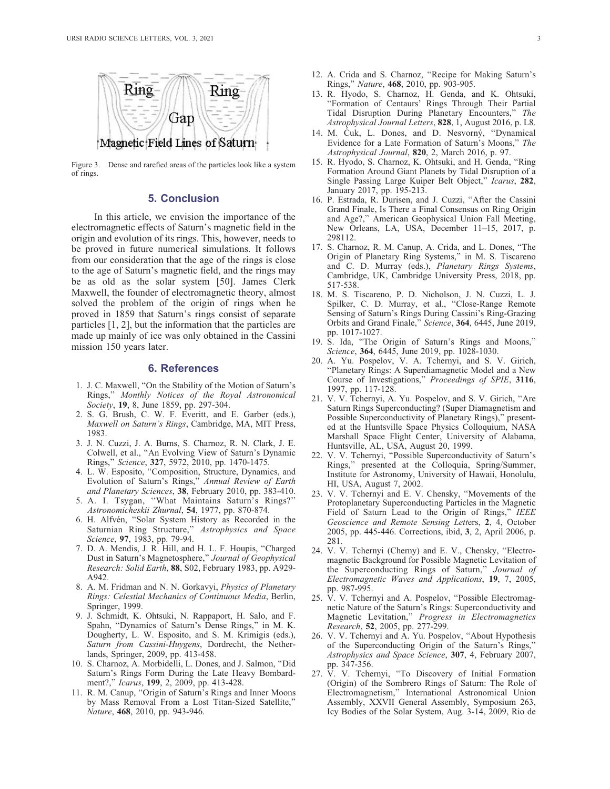

Figure 3. Dense and rarefied areas of the particles look like a system of rings.

# 5. Conclusion

In this article, we envision the importance of the electromagnetic effects of Saturn's magnetic field in the origin and evolution of its rings. This, however, needs to be proved in future numerical simulations. It follows from our consideration that the age of the rings is close to the age of Saturn's magnetic field, and the rings may be as old as the solar system [50]. James Clerk Maxwell, the founder of electromagnetic theory, almost solved the problem of the origin of rings when he proved in 1859 that Saturn's rings consist of separate particles [1, 2], but the information that the particles are made up mainly of ice was only obtained in the Cassini mission 150 years later.

#### 6. References

- 1. J. C. Maxwell, ''On the Stability of the Motion of Saturn's Rings,'' Monthly Notices of the Royal Astronomical Society, 19, 8, June 1859, pp. 297-304.
- 2. S. G. Brush, C. W. F. Everitt, and E. Garber (eds.), Maxwell on Saturn's Rings, Cambridge, MA, MIT Press, 1983.
- 3. J. N. Cuzzi, J. A. Burns, S. Charnoz, R. N. Clark, J. E. Colwell, et al., ''An Evolving View of Saturn's Dynamic Rings,'' Science, 327, 5972, 2010, pp. 1470-1475.
- 4. L. W. Esposito, ''Composition, Structure, Dynamics, and Evolution of Saturn's Rings,'' Annual Review of Earth and Planetary Sciences, 38, February 2010, pp. 383-410.
- 5. A. I. Tsygan, ''What Maintains Saturn's Rings?'' Astronomicheskii Zhurnal, 54, 1977, pp. 870-874.
- 6. H. Alfvén, "Solar System History as Recorded in the Saturnian Ring Structure," Astrophysics and Space Science, 97, 1983, pp. 79-94.
- 7. D. A. Mendis, J. R. Hill, and H. L. F. Houpis, ''Charged Dust in Saturn's Magnetosphere,'' Journal of Geophysical Research: Solid Earth, 88, S02, February 1983, pp. A929- A942.
- 8. A. M. Fridman and N. N. Gorkavyi, Physics of Planetary Rings: Celestial Mechanics of Continuous Media, Berlin, Springer, 1999.
- 9. J. Schmidt, K. Ohtsuki, N. Rappaport, H. Salo, and F. Spahn, ''Dynamics of Saturn's Dense Rings,'' in M. K. Dougherty, L. W. Esposito, and S. M. Krimigis (eds.), Saturn from Cassini-Huygens, Dordrecht, the Netherlands, Springer, 2009, pp. 413-458.
- 10. S. Charnoz, A. Morbidelli, L. Dones, and J. Salmon, ''Did Saturn's Rings Form During the Late Heavy Bombardment?,'' Icarus, 199, 2, 2009, pp. 413-428.
- 11. R. M. Canup, ''Origin of Saturn's Rings and Inner Moons by Mass Removal From a Lost Titan-Sized Satellite,'' Nature, 468, 2010, pp. 943-946.
- 12. A. Crida and S. Charnoz, ''Recipe for Making Saturn's Rings,'' Nature, 468, 2010, pp. 903-905.
- 13. R. Hyodo, S. Charnoz, H. Genda, and K. Ohtsuki, ''Formation of Centaurs' Rings Through Their Partial Tidal Disruption During Planetary Encounters,'' The Astrophysical Journal Letters, **828**, 1, August 2016, p. L8.
- 14. M. Cuk, L. Dones, and D. Nesvorný, "Dynamical Evidence for a Late Formation of Saturn's Moons,'' The Astrophysical Journal, 820, 2, March 2016, p. 97.
- 15. R. Hyodo, S. Charnoz, K. Ohtsuki, and H. Genda, ''Ring Formation Around Giant Planets by Tidal Disruption of a Single Passing Large Kuiper Belt Object," Icarus, 282, January 2017, pp. 195-213.
- 16. P. Estrada, R. Durisen, and J. Cuzzi, ''After the Cassini Grand Finale, Is There a Final Consensus on Ring Origin and Age?,'' American Geophysical Union Fall Meeting, New Orleans, LA, USA, December 11–15, 2017, p. 298112.
- 17. S. Charnoz, R. M. Canup, A. Crida, and L. Dones, ''The Origin of Planetary Ring Systems,'' in M. S. Tiscareno and C. D. Murray (eds.), Planetary Rings Systems, Cambridge, UK, Cambridge University Press, 2018, pp. 517-538.
- 18. M. S. Tiscareno, P. D. Nicholson, J. N. Cuzzi, L. J. Spilker, C. D. Murray, et al., "Close-Range Remote Sensing of Saturn's Rings During Cassini's Ring-Grazing Orbits and Grand Finale,'' Science, 364, 6445, June 2019, pp. 1017-1027.
- 19. S. Ida, ''The Origin of Saturn's Rings and Moons,'' Science, 364, 6445, June 2019, pp. 1028-1030.
- 20. A. Yu. Pospelov, V. A. Tchernyi, and S. V. Girich, ''Planetary Rings: A Superdiamagnetic Model and a New Course of Investigations,'' Proceedings of SPIE, 3116, 1997, pp. 117-128.
- 21. V. V. Tchernyi, A. Yu. Pospelov, and S. V. Girich, ''Are Saturn Rings Superconducting? (Super Diamagnetism and Possible Superconductivity of Planetary Rings)," presented at the Huntsville Space Physics Colloquium, NASA Marshall Space Flight Center, University of Alabama, Huntsville, AL, USA, August 20, 1999.
- 22. V. V. Tchernyi, ''Possible Superconductivity of Saturn's Rings,'' presented at the Colloquia, Spring/Summer, Institute for Astronomy, University of Hawaii, Honolulu, HI, USA, August 7, 2002.
- 23. V. V. Tchernyi and E. V. Chensky, ''Movements of the Protoplanetary Superconducting Particles in the Magnetic Field of Saturn Lead to the Origin of Rings," IEEE Geoscience and Remote Sensing Letters, 2, 4, October 2005, pp. 445-446. Corrections, ibid, 3, 2, April 2006, p. 281.
- 24. V. V. Tchernyi (Cherny) and E. V., Chensky, ''Electromagnetic Background for Possible Magnetic Levitation of the Superconducting Rings of Saturn," Journal of Electromagnetic Waves and Applications, 19, 7, 2005, pp. 987-995.
- 25. V. V. Tchernyi and A. Pospelov, ''Possible Electromagnetic Nature of the Saturn's Rings: Superconductivity and Magnetic Levitation,'' Progress in Electromagnetics Research, 52, 2005, pp. 277-299.
- 26. V. V. Tchernyi and A. Yu. Pospelov, ''About Hypothesis of the Superconducting Origin of the Saturn's Rings, Astrophysics and Space Science, 307, 4, February 2007, pp. 347-356.
- 27. V. V. Tchernyi, ''To Discovery of Initial Formation (Origin) of the Sombrero Rings of Saturn: The Role of Electromagnetism,'' International Astronomical Union Assembly, XXVII General Assembly, Symposium 263, Icy Bodies of the Solar System, Aug. 3-14, 2009, Rio de